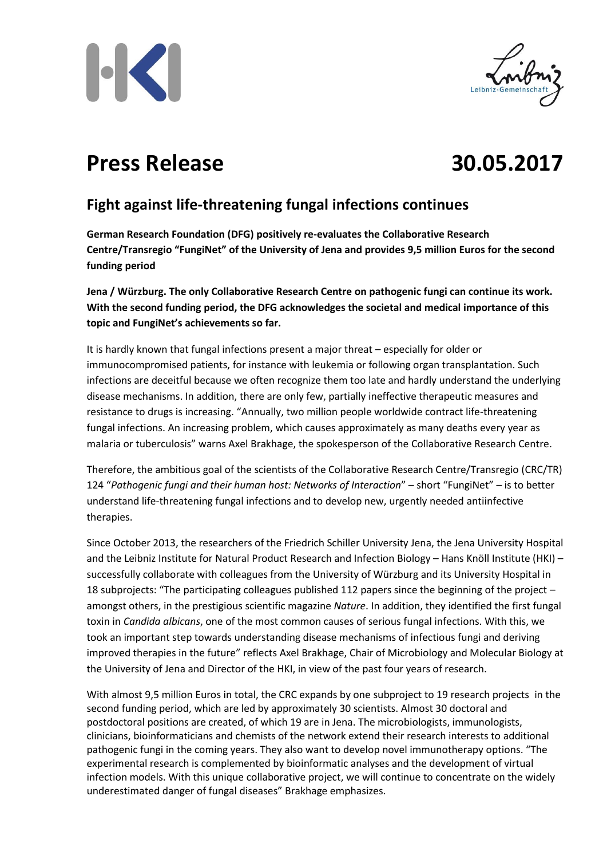



## **Press Release 30.05.2017**



## **Fight against life-threatening fungal infections continues**

**German Research Foundation (DFG) positively re-evaluates the Collaborative Research Centre/Transregio "FungiNet" of the University of Jena and provides 9,5 million Euros for the second funding period**

**Jena / Würzburg. The only Collaborative Research Centre on pathogenic fungi can continue its work. With the second funding period, the DFG acknowledges the societal and medical importance of this topic and FungiNet's achievements so far.**

It is hardly known that fungal infections present a major threat – especially for older or immunocompromised patients, for instance with leukemia or following organ transplantation. Such infections are deceitful because we often recognize them too late and hardly understand the underlying disease mechanisms. In addition, there are only few, partially ineffective therapeutic measures and resistance to drugs is increasing. "Annually, two million people worldwide contract life-threatening fungal infections. An increasing problem, which causes approximately as many deaths every year as malaria or tuberculosis" warns Axel Brakhage, the spokesperson of the Collaborative Research Centre.

Therefore, the ambitious goal of the scientists of the Collaborative Research Centre/Transregio (CRC/TR) 124 "*Pathogenic fungi and their human host: Networks of Interaction*" – short "FungiNet" – is to better understand life-threatening fungal infections and to develop new, urgently needed antiinfective therapies.

Since October 2013, the researchers of the Friedrich Schiller University Jena, the Jena University Hospital and the Leibniz Institute for Natural Product Research and Infection Biology – Hans Knöll Institute (HKI) – successfully collaborate with colleagues from the University of Würzburg and its University Hospital in 18 subprojects: "The participating colleagues published 112 papers since the beginning of the project – amongst others, in the prestigious scientific magazine *Nature*. In addition, they identified the first fungal toxin in *Candida albicans*, one of the most common causes of serious fungal infections. With this, we took an important step towards understanding disease mechanisms of infectious fungi and deriving improved therapies in the future" reflects Axel Brakhage, Chair of Microbiology and Molecular Biology at the University of Jena and Director of the HKI, in view of the past four years of research.

With almost 9,5 million Euros in total, the CRC expands by one subproject to 19 research projects in the second funding period, which are led by approximately 30 scientists. Almost 30 doctoral and postdoctoral positions are created, of which 19 are in Jena. The microbiologists, immunologists, clinicians, bioinformaticians and chemists of the network extend their research interests to additional pathogenic fungi in the coming years. They also want to develop novel immunotherapy options. "The experimental research is complemented by bioinformatic analyses and the development of virtual infection models. With this unique collaborative project, we will continue to concentrate on the widely underestimated danger of fungal diseases" Brakhage emphasizes.